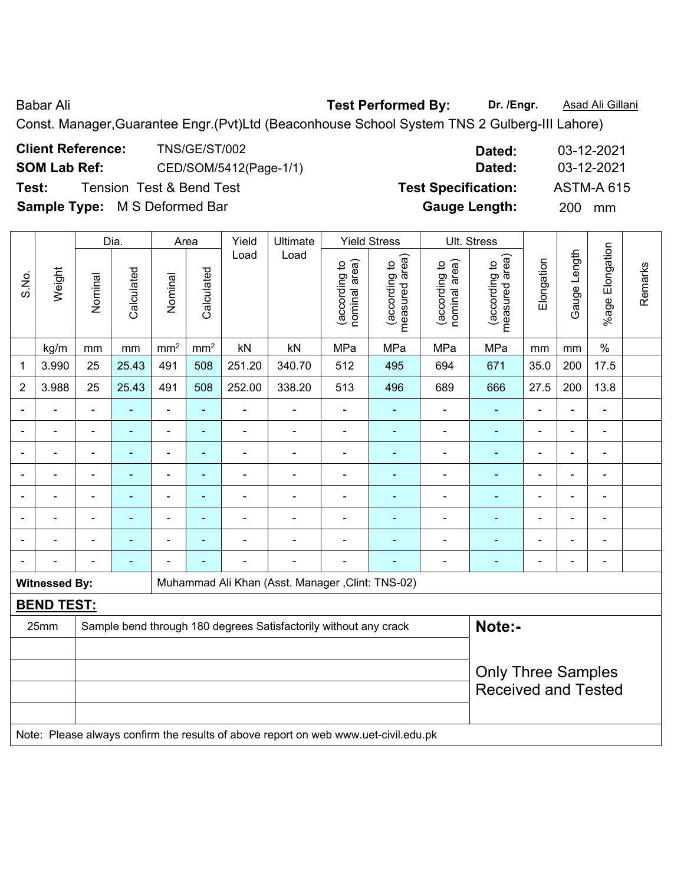Babar Ali **Babar Ali Rest Performed By:** Dr. /Engr. **Asad Ali Gillani** 

Const. Manager,Guarantee Engr.(Pvt)Ltd (Beaconhouse School System TNS 2 Gulberg-III Lahore)

| <b>Client Reference:</b>             | <b>TNS/GE/ST/002</b>                | Dated:                     | 03-12-2021        |
|--------------------------------------|-------------------------------------|----------------------------|-------------------|
| <b>SOM Lab Ref:</b>                  | CED/SOM/5412(Page-1/1)              | Dated:                     | 03-12-2021        |
| Test:                                | <b>Tension Test &amp; Bend Test</b> | <b>Test Specification:</b> | <b>ASTM-A 615</b> |
| <b>Sample Type:</b> M S Deformed Bar |                                     | <b>Gauge Length:</b>       | <b>200</b><br>mm  |

|                |                      |                          | Dia.           |                 | Area            | Yield          | Ultimate                                                                            |                                | <b>Yield Stress</b>             |                                | Ult. Stress                        |                          |                |                          |         |
|----------------|----------------------|--------------------------|----------------|-----------------|-----------------|----------------|-------------------------------------------------------------------------------------|--------------------------------|---------------------------------|--------------------------------|------------------------------------|--------------------------|----------------|--------------------------|---------|
| S.No.          | Weight               | Nominal                  | Calculated     | Nominal         | Calculated      | Load           | Load                                                                                | nominal area)<br>(according to | measured area)<br>(according to | (according to<br>nominal area) | area)<br>(according to<br>measured | Elongation               | Gauge Length   | %age Elongation          | Remarks |
|                | kg/m                 | mm                       | mm             | mm <sup>2</sup> | mm <sup>2</sup> | kN             | kN                                                                                  | MPa                            | MPa                             | MPa                            | MPa                                | mm                       | mm             | $\%$                     |         |
| 1              | 3.990                | 25                       | 25.43          | 491             | 508             | 251.20         | 340.70                                                                              | 512                            | 495                             | 694                            | 671                                | 35.0                     | 200            | 17.5                     |         |
| $\overline{2}$ | 3.988                | 25                       | 25.43          | 491             | 508             | 252.00         | 338.20                                                                              | 513                            | 496                             | 689                            | 666                                | 27.5                     | 200            | 13.8                     |         |
|                |                      |                          |                | $\blacksquare$  | ۰               |                |                                                                                     | $\blacksquare$                 |                                 | ä,                             | $\blacksquare$                     |                          |                |                          |         |
|                |                      |                          | ۰              | $\blacksquare$  | ۰               | $\blacksquare$ | $\blacksquare$                                                                      | $\blacksquare$                 |                                 | ۰                              | $\blacksquare$                     | $\blacksquare$           |                | $\overline{\phantom{0}}$ |         |
| ÷              | $\blacksquare$       | ÷                        | ÷              | ۰               | ٠               | ÷              | $\overline{a}$                                                                      | $\blacksquare$                 | ٠                               | ۰                              | $\blacksquare$                     | $\overline{a}$           | $\overline{a}$ |                          |         |
|                |                      | Ē,                       | ä,             | $\blacksquare$  | ۰               | ä,             | $\overline{\phantom{0}}$                                                            | $\blacksquare$                 | ٠                               | $\overline{\phantom{a}}$       | $\blacksquare$                     | $\overline{\phantom{a}}$ | $\overline{a}$ | $\blacksquare$           |         |
|                |                      | $\overline{\phantom{a}}$ | $\blacksquare$ | $\blacksquare$  | $\blacksquare$  | $\blacksquare$ | $\blacksquare$                                                                      | $\blacksquare$                 | ۰                               | $\blacksquare$                 | $\blacksquare$                     | $\blacksquare$           | $\blacksquare$ | ä,                       |         |
|                |                      | $\blacksquare$           | $\blacksquare$ | $\blacksquare$  | ۰               | $\blacksquare$ | $\blacksquare$                                                                      | Ē,                             |                                 | $\blacksquare$                 | $\blacksquare$                     |                          | $\blacksquare$ | $\blacksquare$           |         |
|                |                      |                          |                |                 |                 |                |                                                                                     |                                |                                 | $\blacksquare$                 | $\blacksquare$                     |                          |                | $\blacksquare$           |         |
|                |                      | $\blacksquare$           | ۰              |                 |                 | ÷              | $\overline{\phantom{0}}$                                                            | Ē,                             |                                 | $\blacksquare$                 | $\blacksquare$                     | $\blacksquare$           | $\blacksquare$ | $\blacksquare$           |         |
|                | <b>Witnessed By:</b> |                          |                |                 |                 |                | Muhammad Ali Khan (Asst. Manager, Clint: TNS-02)                                    |                                |                                 |                                |                                    |                          |                |                          |         |
|                | <b>BEND TEST:</b>    |                          |                |                 |                 |                |                                                                                     |                                |                                 |                                |                                    |                          |                |                          |         |
|                | 25mm                 |                          |                |                 |                 |                | Sample bend through 180 degrees Satisfactorily without any crack                    |                                |                                 |                                | Note:-                             |                          |                |                          |         |
|                |                      |                          |                |                 |                 |                |                                                                                     |                                |                                 |                                |                                    |                          |                |                          |         |
|                |                      |                          |                |                 |                 |                |                                                                                     |                                |                                 |                                | <b>Only Three Samples</b>          |                          |                |                          |         |
|                |                      |                          |                |                 |                 |                |                                                                                     |                                |                                 |                                | <b>Received and Tested</b>         |                          |                |                          |         |
|                |                      |                          |                |                 |                 |                |                                                                                     |                                |                                 |                                |                                    |                          |                |                          |         |
|                |                      |                          |                |                 |                 |                | Note: Please always confirm the results of above report on web www.uet-civil.edu.pk |                                |                                 |                                |                                    |                          |                |                          |         |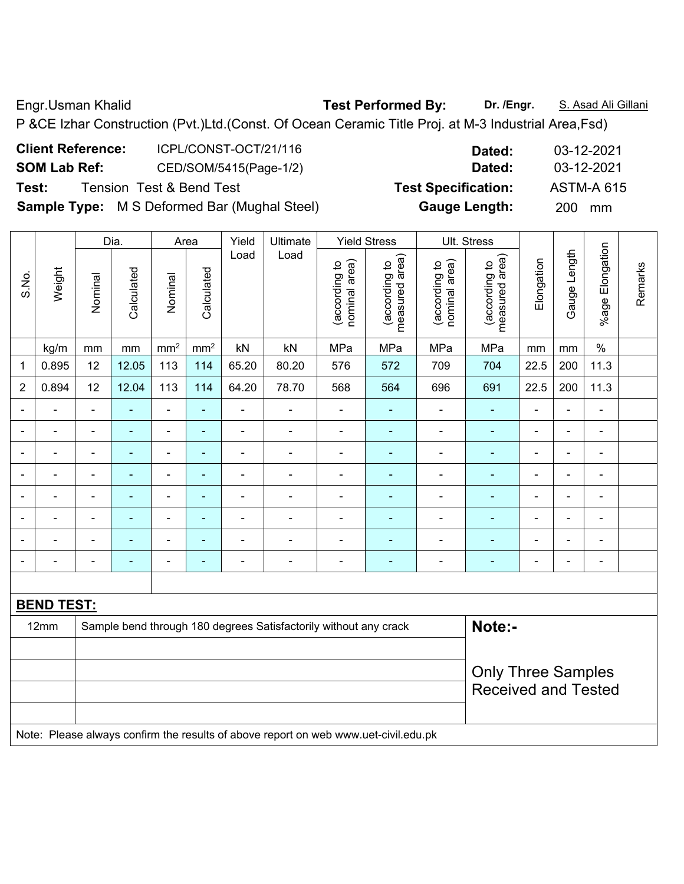Engr.Usman Khalid **Test Performed By: Dr. /Engr.** S. Asad Ali Gillani

P &CE Izhar Construction (Pvt.)Ltd.(Const. Of Ocean Ceramic Title Proj. at M-3 Industrial Area,Fsd)

| <b>Client Reference:</b> | ICPL/CONST-OCT/21/116                               | Dated:                     | 03-12-2021        |
|--------------------------|-----------------------------------------------------|----------------------------|-------------------|
| <b>SOM Lab Ref:</b>      | CED/SOM/5415(Page-1/2)                              | Dated:                     | 03-12-2021        |
| Test:                    | <b>Tension Test &amp; Bend Test</b>                 | <b>Test Specification:</b> | <b>ASTM-A 615</b> |
|                          | <b>Sample Type:</b> M S Deformed Bar (Mughal Steel) | <b>Gauge Length:</b>       | <b>200</b><br>mm  |

|                |                   |                | Dia.                     |                              | Area           | Yield                    | Ultimate                                                                            |                                | <b>Yield Stress</b>             |                                | Ult. Stress                     |                          |                |                          |         |
|----------------|-------------------|----------------|--------------------------|------------------------------|----------------|--------------------------|-------------------------------------------------------------------------------------|--------------------------------|---------------------------------|--------------------------------|---------------------------------|--------------------------|----------------|--------------------------|---------|
| S.No.          | Weight            | Nominal        | Calculated               | Nominal                      | Calculated     | Load                     | Load                                                                                | nominal area)<br>(according to | measured area)<br>(according to | (according to<br>nominal area) | measured area)<br>(according to | Elongation               | Gauge Length   | %age Elongation          | Remarks |
|                | kg/m              | mm             | mm                       | mm <sup>2</sup>              | $\rm mm^2$     | kN                       | kN                                                                                  | MPa                            | MPa                             | MPa                            | MPa                             | mm                       | mm             | $\%$                     |         |
| 1              | 0.895             | 12             | 12.05                    | 113                          | 114            | 65.20                    | 80.20                                                                               | 576                            | 572                             | 709                            | 704                             | 22.5                     | 200            | 11.3                     |         |
| $\overline{2}$ | 0.894             | 12             | 12.04                    | 113                          | 114            | 64.20                    | 78.70                                                                               | 568                            | 564                             | 696                            | 691                             | 22.5                     | 200            | 11.3                     |         |
| ä,             | $\blacksquare$    | $\blacksquare$ | ÷                        | ÷,                           | $\blacksquare$ | ÷.                       | $\overline{a}$                                                                      | $\blacksquare$                 | ÷                               | $\blacksquare$                 | ÷                               | $\blacksquare$           | $\blacksquare$ | $\blacksquare$           |         |
|                | $\blacksquare$    |                | $\blacksquare$           | ÷,                           | $\blacksquare$ | ÷.                       | $\blacksquare$                                                                      | $\blacksquare$                 | $\blacksquare$                  | $\blacksquare$                 | $\blacksquare$                  | $\blacksquare$           | ÷,             | $\blacksquare$           |         |
|                | $\blacksquare$    |                | $\blacksquare$           | $\qquad \qquad \blacksquare$ | $\blacksquare$ | ÷.                       | $\blacksquare$                                                                      | $\blacksquare$                 | $\blacksquare$                  | $\blacksquare$                 | $\blacksquare$                  | $\blacksquare$           | $\blacksquare$ | $\blacksquare$           |         |
|                |                   |                |                          | $\blacksquare$               | ä,             |                          |                                                                                     |                                |                                 |                                |                                 |                          | L,             | L,                       |         |
|                | ۰                 |                |                          | ۰                            | ٠              | $\overline{\phantom{0}}$ | $\qquad \qquad \blacksquare$                                                        |                                | $\overline{\phantom{0}}$        | $\overline{a}$                 | ۰                               | $\overline{\phantom{0}}$ | Ē,             | $\overline{\phantom{0}}$ |         |
|                | $\blacksquare$    | $\blacksquare$ | $\overline{\phantom{a}}$ | $\overline{\phantom{0}}$     | $\blacksquare$ | $\overline{a}$           | $\qquad \qquad \blacksquare$                                                        | $\overline{a}$                 | ۰                               | $\overline{a}$                 | $\blacksquare$                  | $\blacksquare$           | $\blacksquare$ | $\overline{\phantom{a}}$ |         |
|                | $\blacksquare$    |                | $\overline{\phantom{a}}$ | $\overline{\phantom{0}}$     | ٠              | $\overline{a}$           | $\overline{a}$                                                                      | $\blacksquare$                 | ۰                               |                                | Ē.                              |                          | $\blacksquare$ | $\blacksquare$           |         |
|                |                   |                | $\blacksquare$           | $\blacksquare$               | $\blacksquare$ | $\blacksquare$           | $\blacksquare$                                                                      | $\blacksquare$                 | $\overline{\phantom{0}}$        | $\blacksquare$                 | $\blacksquare$                  |                          | L,             | $\blacksquare$           |         |
|                |                   |                |                          |                              |                |                          |                                                                                     |                                |                                 |                                |                                 |                          |                |                          |         |
|                | <b>BEND TEST:</b> |                |                          |                              |                |                          |                                                                                     |                                |                                 |                                |                                 |                          |                |                          |         |
|                | 12mm              |                |                          |                              |                |                          | Sample bend through 180 degrees Satisfactorily without any crack                    |                                |                                 |                                | Note:-                          |                          |                |                          |         |
|                |                   |                |                          |                              |                |                          |                                                                                     |                                |                                 |                                |                                 |                          |                |                          |         |
|                |                   |                |                          |                              |                |                          |                                                                                     |                                |                                 |                                | <b>Only Three Samples</b>       |                          |                |                          |         |
|                |                   |                |                          |                              |                |                          |                                                                                     |                                |                                 |                                | <b>Received and Tested</b>      |                          |                |                          |         |
|                |                   |                |                          |                              |                |                          |                                                                                     |                                |                                 |                                |                                 |                          |                |                          |         |
|                |                   |                |                          |                              |                |                          | Note: Placea glucius confirm the results of above report on web www.uet ouilledu.pl |                                |                                 |                                |                                 |                          |                |                          |         |

Note: Please always confirm the results of above report on web www.uet-civil.edu.pk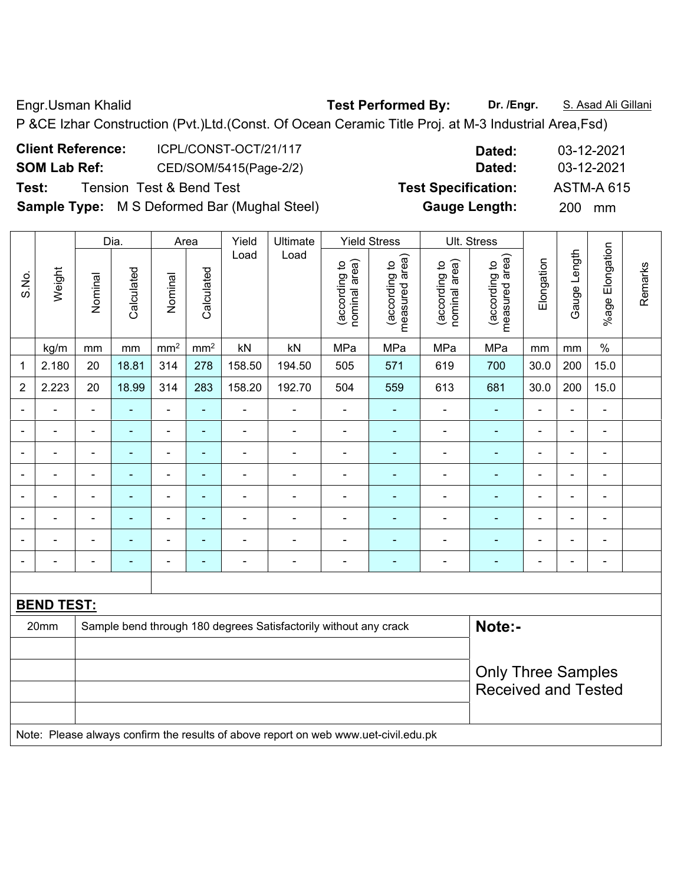Engr.Usman Khalid **Test Performed By:** Dr. /Engr. **S. Asad Ali Gillani** P &CE Izhar Construction (Pvt.)Ltd.(Const. Of Ocean Ceramic Title Proj. at M-3 Industrial Area,Fsd)

| <b>Client Reference:</b> | ICPL/CONST-OCT/21/117                               | Dated:                     | 03-12-2021        |
|--------------------------|-----------------------------------------------------|----------------------------|-------------------|
| <b>SOM Lab Ref:</b>      | CED/SOM/5415(Page-2/2)                              | Dated:                     | 03-12-2021        |
| Test:                    | <b>Tension Test &amp; Bend Test</b>                 | <b>Test Specification:</b> | <b>ASTM-A 615</b> |
|                          | <b>Sample Type:</b> M S Deformed Bar (Mughal Steel) | <b>Gauge Length:</b>       | <b>200</b><br>mm  |

|                          |                   |                           | Dia.           |                 | Area            | Yield          | Ultimate                                                                            |                                | <b>Yield Stress</b>             |                                | Ult. Stress                     |                            |                |                 |         |
|--------------------------|-------------------|---------------------------|----------------|-----------------|-----------------|----------------|-------------------------------------------------------------------------------------|--------------------------------|---------------------------------|--------------------------------|---------------------------------|----------------------------|----------------|-----------------|---------|
| S.No.                    | Weight            | Nominal                   | Calculated     | Nominal         | Calculated      | Load           | Load                                                                                | nominal area)<br>(according to | measured area)<br>(according to | (according to<br>nominal area) | (according to<br>measured area) | Elongation                 | Gauge Length   | %age Elongation | Remarks |
|                          | kg/m              | mm                        | mm             | mm <sup>2</sup> | mm <sup>2</sup> | kN             | kN                                                                                  | MPa                            | MPa                             | MPa                            | MPa                             | mm                         | mm             | $\%$            |         |
| 1                        | 2.180             | 20                        | 18.81          | 314             | 278             | 158.50         | 194.50                                                                              | 505                            | 571                             | 619                            | 700                             | 30.0                       | 200            | 15.0            |         |
| $\overline{2}$           | 2.223             | 20                        | 18.99          | 314             | 283             | 158.20         | 192.70                                                                              | 504                            | 559                             | 613                            | 681                             | 30.0                       | 200            | 15.0            |         |
|                          |                   |                           |                |                 | ä,              |                |                                                                                     |                                | $\blacksquare$                  |                                | $\blacksquare$                  |                            | L.             | $\blacksquare$  |         |
|                          |                   | $\blacksquare$            |                | $\blacksquare$  | $\blacksquare$  | ÷              | ÷                                                                                   | $\blacksquare$                 | $\blacksquare$                  | $\blacksquare$                 | $\blacksquare$                  | $\blacksquare$             | L,             | $\blacksquare$  |         |
| $\blacksquare$           | L,                | $\blacksquare$            | $\blacksquare$ | $\blacksquare$  | ÷               | $\blacksquare$ | Ē,                                                                                  | $\blacksquare$                 | $\blacksquare$                  | $\blacksquare$                 | $\blacksquare$                  | $\blacksquare$             | $\blacksquare$ | $\blacksquare$  |         |
|                          | ÷                 | $\blacksquare$            | $\blacksquare$ | $\blacksquare$  | $\blacksquare$  | ۰              | Ē,                                                                                  | $\blacksquare$                 | $\blacksquare$                  | $\blacksquare$                 | $\blacksquare$                  | $\blacksquare$             | $\blacksquare$ | $\blacksquare$  |         |
|                          | $\blacksquare$    | $\blacksquare$            | $\blacksquare$ | ÷,              | ÷               | ۰              | $\blacksquare$                                                                      | $\blacksquare$                 | $\blacksquare$                  | $\blacksquare$                 | $\blacksquare$                  | $\blacksquare$             | $\blacksquare$ | $\blacksquare$  |         |
|                          |                   |                           |                | $\blacksquare$  | ٠               | $\blacksquare$ |                                                                                     | $\blacksquare$                 | $\blacksquare$                  |                                | $\blacksquare$                  |                            | $\blacksquare$ | $\blacksquare$  |         |
|                          |                   |                           |                | $\blacksquare$  |                 |                |                                                                                     | Ē,                             |                                 |                                | $\blacksquare$                  |                            |                | $\blacksquare$  |         |
| $\overline{\phantom{a}}$ |                   | $\blacksquare$            | $\blacksquare$ | $\blacksquare$  | ÷               | ۰              | ÷                                                                                   | $\blacksquare$                 | ٠                               | $\blacksquare$                 | ٠                               | $\blacksquare$             | $\blacksquare$ | $\blacksquare$  |         |
|                          |                   |                           |                |                 |                 |                |                                                                                     |                                |                                 |                                |                                 |                            |                |                 |         |
|                          | <b>BEND TEST:</b> |                           |                |                 |                 |                |                                                                                     |                                |                                 |                                |                                 |                            |                |                 |         |
|                          | 20mm              |                           |                |                 |                 |                | Sample bend through 180 degrees Satisfactorily without any crack                    |                                |                                 |                                | Note:-                          |                            |                |                 |         |
|                          |                   |                           |                |                 |                 |                |                                                                                     |                                |                                 |                                |                                 |                            |                |                 |         |
|                          |                   | <b>Only Three Samples</b> |                |                 |                 |                |                                                                                     |                                |                                 |                                |                                 |                            |                |                 |         |
|                          |                   |                           |                |                 |                 |                |                                                                                     |                                |                                 |                                |                                 | <b>Received and Tested</b> |                |                 |         |
|                          |                   |                           |                |                 |                 |                |                                                                                     |                                |                                 |                                |                                 |                            |                |                 |         |
|                          |                   |                           |                |                 |                 |                | Note: Please always confirm the results of above report on web www.uet-civil.edu.pk |                                |                                 |                                |                                 |                            |                |                 |         |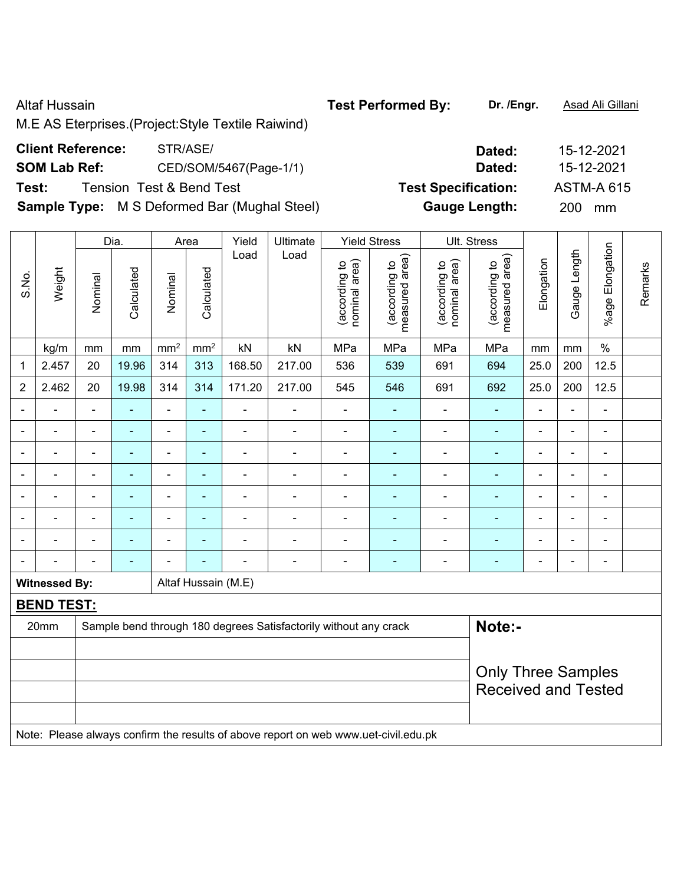M.E AS Eterprises.(Project:Style Textile Raiwind)

**Sample Type:** M S Deformed Bar (Mughal Steel) **Gauge Length:** 200 mm

|                |                      |                          | Dia.           |                 | Area                | Yield                     | Ultimate                                                                            |                                | <b>Yield Stress</b>             |                                | Ult. Stress                     |                |                |                 |         |
|----------------|----------------------|--------------------------|----------------|-----------------|---------------------|---------------------------|-------------------------------------------------------------------------------------|--------------------------------|---------------------------------|--------------------------------|---------------------------------|----------------|----------------|-----------------|---------|
| S.No.          | Weight               | Nominal                  | Calculated     | Nominal         | Calculated          | Load                      | Load                                                                                | (according to<br>nominal area) | (according to<br>measured area) | (according to<br>nominal area) | (according to<br>measured area) | Elongation     | Gauge Length   | %age Elongation | Remarks |
|                | kg/m                 | mm                       | mm             | mm <sup>2</sup> | mm <sup>2</sup>     | kN                        | kN                                                                                  | MPa                            | MPa                             | MPa                            | MPa                             | mm             | mm             | $\%$            |         |
| 1              | 2.457                | 20                       | 19.96          | 314             | 313                 | 168.50                    | 217.00                                                                              | 536                            | 539                             | 691                            | 694                             | 25.0           | 200            | 12.5            |         |
| $\overline{2}$ | 2.462                | 20                       | 19.98          | 314             | 314                 | 171.20                    | 217.00                                                                              | 545                            | 546                             | 691                            | 692                             | 25.0           | 200            | 12.5            |         |
| $\blacksquare$ | L.                   | $\blacksquare$           | ä,             | $\frac{1}{2}$   | $\blacksquare$      | $\overline{\phantom{a}}$  | $\blacksquare$                                                                      | $\blacksquare$                 | ٠                               | ÷,                             | ÷,                              | ä,             | $\blacksquare$ | $\blacksquare$  |         |
| $\blacksquare$ | $\blacksquare$       | $\overline{\phantom{a}}$ | ä,             | $\blacksquare$  | ÷                   | ÷,                        | $\blacksquare$                                                                      | $\blacksquare$                 | ٠                               | $\blacksquare$                 | $\blacksquare$                  | $\blacksquare$ | $\blacksquare$ | $\blacksquare$  |         |
|                | $\blacksquare$       | $\blacksquare$           | ä,             | $\blacksquare$  | ÷,                  | ÷,                        | $\blacksquare$                                                                      | $\blacksquare$                 | ٠                               | ÷,                             | $\blacksquare$                  | $\blacksquare$ | $\blacksquare$ | $\blacksquare$  |         |
|                | $\blacksquare$       | $\overline{\phantom{a}}$ | ä,             | $\blacksquare$  | $\blacksquare$      | ÷,                        | $\blacksquare$                                                                      | $\blacksquare$                 | ÷,                              | ÷,                             | $\blacksquare$                  | ÷,             | $\blacksquare$ | ÷,              |         |
|                |                      | $\blacksquare$           | $\blacksquare$ | $\blacksquare$  | $\blacksquare$      | $\blacksquare$            | $\blacksquare$                                                                      | $\blacksquare$                 | $\blacksquare$                  | $\blacksquare$                 | $\blacksquare$                  |                | $\blacksquare$ | $\blacksquare$  |         |
|                |                      | $\blacksquare$           | $\blacksquare$ | $\blacksquare$  |                     | $\blacksquare$            | $\blacksquare$                                                                      | ÷                              |                                 |                                |                                 |                |                | ÷,              |         |
|                |                      | $\blacksquare$           | $\blacksquare$ | $\blacksquare$  | $\blacksquare$      | ÷,                        | ÷                                                                                   | ÷                              | $\blacksquare$                  | $\blacksquare$                 | ÷,                              |                | $\blacksquare$ | ÷               |         |
| $\blacksquare$ |                      | $\blacksquare$           | $\blacksquare$ |                 |                     | ÷,                        | $\overline{\phantom{a}}$                                                            | $\blacksquare$                 | ٠                               | $\blacksquare$                 | $\blacksquare$                  | $\blacksquare$ | $\blacksquare$ | ÷               |         |
|                | <b>Witnessed By:</b> |                          |                |                 | Altaf Hussain (M.E) |                           |                                                                                     |                                |                                 |                                |                                 |                |                |                 |         |
|                | <b>BEND TEST:</b>    |                          |                |                 |                     |                           |                                                                                     |                                |                                 |                                |                                 |                |                |                 |         |
|                | 20mm                 |                          |                |                 |                     |                           | Sample bend through 180 degrees Satisfactorily without any crack                    |                                |                                 |                                | Note:-                          |                |                |                 |         |
|                |                      |                          |                |                 |                     |                           |                                                                                     |                                |                                 |                                |                                 |                |                |                 |         |
|                |                      |                          |                |                 |                     | <b>Only Three Samples</b> |                                                                                     |                                |                                 |                                |                                 |                |                |                 |         |
|                |                      |                          |                |                 |                     |                           |                                                                                     |                                |                                 |                                | <b>Received and Tested</b>      |                |                |                 |         |
|                |                      |                          |                |                 |                     |                           |                                                                                     |                                |                                 |                                |                                 |                |                |                 |         |
|                |                      |                          |                |                 |                     |                           | Note: Please always confirm the results of above report on web www.uet-civil.edu.pk |                                |                                 |                                |                                 |                |                |                 |         |

# **Client Reference:** STR/ASE/ **Dated:** 15-12-2021 **SOM Lab Ref:** CED/SOM/5467(Page-1/1) **Dated:** 15-12-2021 **Test:** Tension Test & Bend Test **Test Specification:** ASTM-A 615

Altaf Hussain **Test Performed By:** Dr. /Engr. **Asad Ali Gillani** Altaf Hussain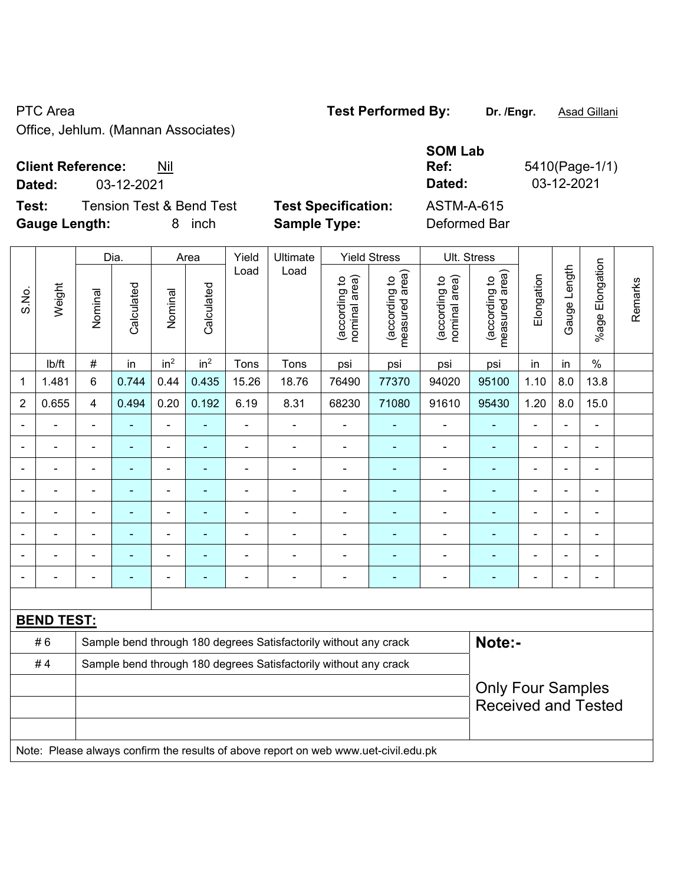Office, Jehlum. (Ma

## **Client Reference:** Nil

**Dated:** 03-12-2021 **Dated:** 03-12-2021

**Test:** Tension Test & Bend Test Test Specification: **Gauge Length:** 8 inch **Sample Type:** Deformed Bar

| annan Associates) |  |  |
|-------------------|--|--|
|                   |  |  |

| <b>SOM Lab</b>    |                |
|-------------------|----------------|
| Ref:              | 5410(Page-1/1) |
| Dated:            | 03-12-2021     |
| <b>ASTM-A-615</b> |                |

|                |                   |                          | Dia.           |                          | Area            | Yield<br>Ultimate<br><b>Yield Stress</b> |                                                                                     |                                | Ult. Stress                     |                                |                                 |                |                          |                      |         |
|----------------|-------------------|--------------------------|----------------|--------------------------|-----------------|------------------------------------------|-------------------------------------------------------------------------------------|--------------------------------|---------------------------------|--------------------------------|---------------------------------|----------------|--------------------------|----------------------|---------|
| S.No.          | Weight            | Nominal                  | Calculated     | Nominal                  | Calculated      | Load                                     | Load                                                                                | nominal area)<br>(according to | measured area)<br>(according to | nominal area)<br>(according to | measured area)<br>(according to | Elongation     | Gauge Length             | Elongation<br>%age I | Remarks |
|                | lb/ft             | #                        | in             | in <sup>2</sup>          | in <sup>2</sup> | Tons                                     | Tons                                                                                | psi                            | psi                             | psi                            | psi                             | in             | in                       | $\%$                 |         |
| 1              | 1.481             | 6                        | 0.744          | 0.44                     | 0.435           | 15.26                                    | 18.76                                                                               | 76490                          | 77370                           | 94020                          | 95100                           | 1.10           | 8.0                      | 13.8                 |         |
| $\overline{2}$ | 0.655             | 4                        | 0.494          | 0.20                     | 0.192           | 6.19                                     | 8.31                                                                                | 68230                          | 71080                           | 91610                          | 95430                           | 1.20           | 8.0                      | 15.0                 |         |
|                |                   | $\blacksquare$           | $\blacksquare$ | $\blacksquare$           |                 | ä,                                       | $\blacksquare$                                                                      | ä,                             |                                 | ÷,                             |                                 | ä,             |                          |                      |         |
|                |                   |                          |                |                          |                 |                                          |                                                                                     | $\blacksquare$                 |                                 | $\blacksquare$                 |                                 | $\blacksquare$ |                          |                      |         |
|                |                   |                          |                |                          |                 |                                          |                                                                                     | $\blacksquare$                 |                                 |                                |                                 |                |                          |                      |         |
|                |                   |                          |                |                          |                 |                                          |                                                                                     | $\blacksquare$                 | $\blacksquare$                  | $\blacksquare$                 |                                 | $\blacksquare$ | $\overline{\phantom{0}}$ |                      |         |
|                | Ē,                | $\blacksquare$           | $\blacksquare$ | $\overline{\phantom{a}}$ | $\blacksquare$  | $\blacksquare$                           | $\overline{\phantom{0}}$                                                            | $\blacksquare$                 | ä,                              | $\blacksquare$                 | $\blacksquare$                  | ä,             | $\blacksquare$           | $\blacksquare$       |         |
|                | ä,                | ä,                       | $\blacksquare$ | $\blacksquare$           |                 | ä,                                       | ÷                                                                                   | -                              |                                 | -                              |                                 | $\blacksquare$ | $\blacksquare$           | ÷                    |         |
|                | ä,                | ä,                       | $\blacksquare$ | $\overline{a}$           | ä,              | ä,                                       | $\blacksquare$                                                                      | $\blacksquare$                 | $\blacksquare$                  | $\blacksquare$                 | $\blacksquare$                  | $\overline{a}$ | $\blacksquare$           | ä,                   |         |
|                |                   |                          |                |                          |                 |                                          |                                                                                     |                                |                                 |                                |                                 |                |                          | $\overline{a}$       |         |
|                |                   |                          |                |                          |                 |                                          |                                                                                     |                                |                                 |                                |                                 |                |                          |                      |         |
|                | <b>BEND TEST:</b> |                          |                |                          |                 |                                          |                                                                                     |                                |                                 |                                |                                 |                |                          |                      |         |
|                | #6                |                          |                |                          |                 |                                          | Sample bend through 180 degrees Satisfactorily without any crack                    |                                |                                 |                                | Note:-                          |                |                          |                      |         |
|                | #4                |                          |                |                          |                 |                                          | Sample bend through 180 degrees Satisfactorily without any crack                    |                                |                                 |                                |                                 |                |                          |                      |         |
|                |                   | <b>Only Four Samples</b> |                |                          |                 |                                          |                                                                                     |                                |                                 |                                |                                 |                |                          |                      |         |
|                |                   |                          |                |                          |                 |                                          |                                                                                     |                                |                                 |                                | <b>Received and Tested</b>      |                |                          |                      |         |
|                |                   |                          |                |                          |                 |                                          |                                                                                     |                                |                                 |                                |                                 |                |                          |                      |         |
|                |                   |                          |                |                          |                 |                                          | Note: Please always confirm the results of above report on web www.uet-civil.edu.pk |                                |                                 |                                |                                 |                |                          |                      |         |

PTC Area **Test Performed By:** Dr. /Engr. **Asad Gillani**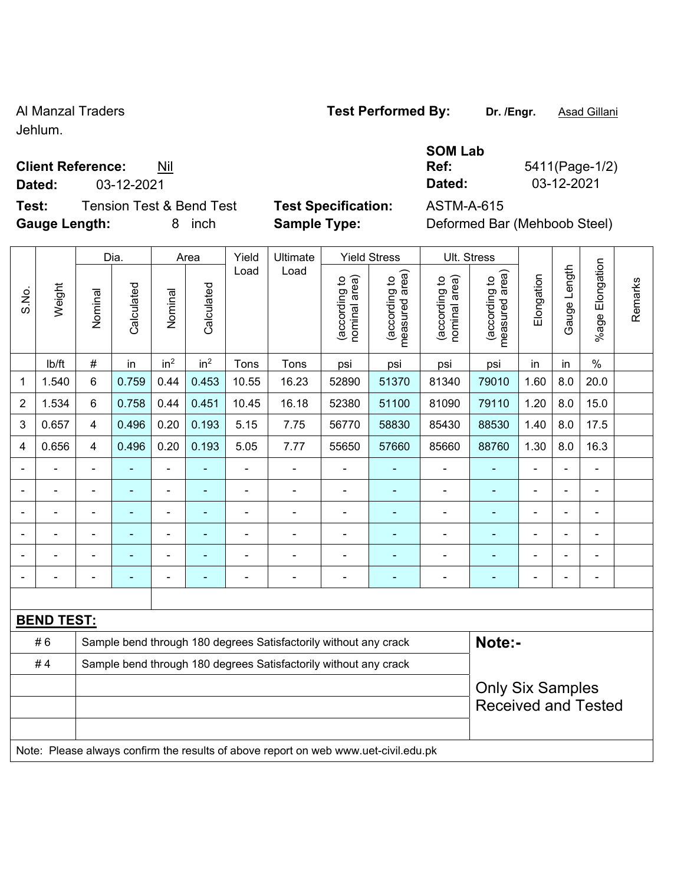Jehlum.

## **Client Reference:** Nil

**Dated:** 03-12-2021 **Dated:** 03-12-2021

**Test:** Tension Test & Bend Test **Test Specification:** ASTM-A-615 **Gauge Length:** 8 inch **Sample Type:** Deformed Bar (Mehboob Steel)

| Ref: |
|------|
|      |

**Ref:** 5411(Page-1/2)

**SOM Lab** 

|                |                   |                | Dia.           |                          | Area                                                             | Yield                        | Ultimate                                                                            |                                | <b>Yield Stress</b>             |                                | Ult. Stress                     |                         |                |                            |         |
|----------------|-------------------|----------------|----------------|--------------------------|------------------------------------------------------------------|------------------------------|-------------------------------------------------------------------------------------|--------------------------------|---------------------------------|--------------------------------|---------------------------------|-------------------------|----------------|----------------------------|---------|
| S.No.          | Weight            | Nominal        | Calculated     | Nominal                  | Calculated                                                       | Load                         | Load                                                                                | nominal area)<br>(according to | (according to<br>measured area) | (according to<br>nominal area) | (according to<br>measured area) | Elongation              | Gauge Length   | Elongation<br>$%$ age      | Remarks |
|                | lb/ft             | #              | in             | in <sup>2</sup>          | in <sup>2</sup>                                                  | Tons                         | Tons                                                                                | psi                            | psi                             | psi                            | psi                             | in                      | in             | $\frac{0}{0}$              |         |
| 1              | 1.540             | 6              | 0.759          | 0.44                     | 0.453                                                            | 10.55                        | 16.23                                                                               | 52890                          | 51370                           | 81340                          | 79010                           | 1.60                    | 8.0            | 20.0                       |         |
| $\overline{2}$ | 1.534             | 6              | 0.758          | 0.44                     | 0.451                                                            | 10.45                        | 16.18                                                                               | 52380                          | 51100                           | 81090                          | 79110                           | 1.20                    | 8.0            | 15.0                       |         |
| 3              | 0.657             | 4              | 0.496          | 0.20                     | 0.193                                                            | 5.15                         | 7.75                                                                                | 56770                          | 58830                           | 85430                          | 88530                           | 1.40                    | 8.0            | 17.5                       |         |
| 4              | 0.656             | 4              | 0.496          | 0.20                     | 0.193                                                            | 5.05                         | 7.77                                                                                | 55650                          | 57660                           | 85660                          | 88760                           | 1.30                    | 8.0            | 16.3                       |         |
| $\blacksquare$ | ä,                | $\blacksquare$ | $\blacksquare$ | $\blacksquare$           | $\blacksquare$                                                   | $\blacksquare$               | ÷,                                                                                  | $\blacksquare$                 | Ξ                               | ä,                             | $\blacksquare$                  | $\blacksquare$          | $\blacksquare$ | $\blacksquare$             |         |
|                | ä,                | ÷,             | $\blacksquare$ | $\overline{\phantom{a}}$ | ÷,                                                               | $\blacksquare$               | $\blacksquare$                                                                      | L,                             | Ξ                               | ä,                             | ÷,                              | ä,                      | ä,             | ÷                          |         |
|                | $\blacksquare$    |                | ÷              | ä,                       |                                                                  | $\blacksquare$               | $\blacksquare$                                                                      | ä,                             | ۰                               | ä,                             | $\blacksquare$                  | $\blacksquare$          |                | ä,                         |         |
|                |                   |                |                | Ē,                       |                                                                  |                              |                                                                                     | Ē,                             |                                 |                                |                                 |                         |                | $\blacksquare$             |         |
|                |                   |                |                |                          |                                                                  |                              |                                                                                     | $\blacksquare$                 | ۰                               | $\overline{\phantom{0}}$       |                                 | ÷                       | $\blacksquare$ | $\overline{a}$             |         |
|                |                   |                |                | $\overline{\phantom{a}}$ |                                                                  | $\qquad \qquad \blacksquare$ |                                                                                     | $\blacksquare$                 | ۰                               | $\qquad \qquad \blacksquare$   | ۰                               | Ē,                      |                | ÷,                         |         |
|                |                   |                |                |                          |                                                                  |                              |                                                                                     |                                |                                 |                                |                                 |                         |                |                            |         |
|                | <b>BEND TEST:</b> |                |                |                          |                                                                  |                              |                                                                                     |                                |                                 |                                |                                 |                         |                |                            |         |
|                | #6                |                |                |                          |                                                                  |                              | Sample bend through 180 degrees Satisfactorily without any crack                    |                                |                                 |                                | Note:-                          |                         |                |                            |         |
|                | #4                |                |                |                          | Sample bend through 180 degrees Satisfactorily without any crack |                              |                                                                                     |                                |                                 |                                |                                 |                         |                |                            |         |
|                |                   |                |                |                          |                                                                  |                              |                                                                                     |                                |                                 |                                |                                 | <b>Only Six Samples</b> |                | <b>Received and Tested</b> |         |
|                |                   |                |                |                          |                                                                  |                              | Note: Please always confirm the results of above report on web www.uet-civil.edu.pk |                                |                                 |                                |                                 |                         |                |                            |         |

## Al Manzal Traders **Test Performed By:** Dr. /Engr. **Asad Gillani**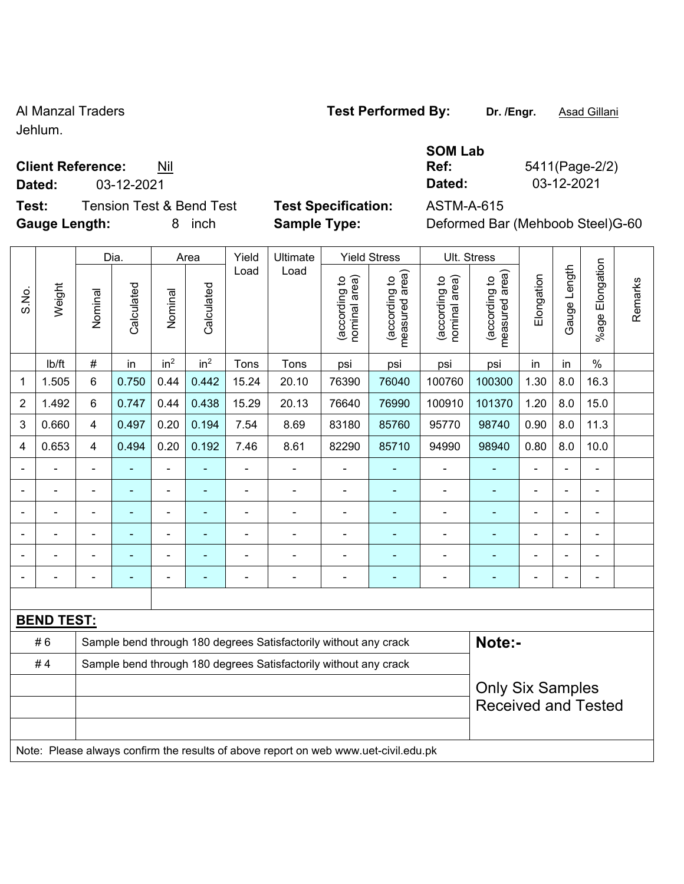Jehlum.

## **Client Reference:** Nil

**Test:** Tension Test & Bend Test **Test Specification:** ASTM-A-615 **Gauge Length:** 8 inch **Sample Type:** Deformed Bar (Mehboob Steel)G-60

|                |                   |                       | Dia.  | Area                         |                 | Yield          | Ultimate                                                                            |                                | <b>Yield Stress</b>             |                                | Ult. Stress                     |                |                          |                      |         |  |
|----------------|-------------------|-----------------------|-------|------------------------------|-----------------|----------------|-------------------------------------------------------------------------------------|--------------------------------|---------------------------------|--------------------------------|---------------------------------|----------------|--------------------------|----------------------|---------|--|
| S.No.          | Weight            | Calculated<br>Nominal |       | Nominal                      | Calculated      | Load           | Load                                                                                | nominal area)<br>(according to | measured area)<br>(according to | (according to<br>nominal area) | measured area)<br>(according to | Elongation     | Gauge Length             | Elongation<br>%age l | Remarks |  |
|                | lb/ft             | $\#$                  | in    | in <sup>2</sup>              | in <sup>2</sup> | Tons           | Tons                                                                                | psi                            | psi                             | psi                            | psi                             | in             | in                       | $\%$                 |         |  |
| 1              | 1.505             | 6                     | 0.750 | 0.44                         | 0.442           | 15.24          | 20.10                                                                               | 76390                          | 76040                           | 100760                         | 100300                          | 1.30           | 8.0                      | 16.3                 |         |  |
| $\overline{2}$ | 1.492             | 6                     | 0.747 | 0.44                         | 0.438           | 15.29          | 20.13                                                                               | 76640                          | 76990                           | 100910                         | 101370                          | 1.20           | 8.0                      | 15.0                 |         |  |
| 3              | 0.660             | $\overline{4}$        | 0.497 | 0.20                         | 0.194           | 7.54           | 8.69                                                                                | 83180                          | 85760                           | 95770                          | 98740                           | 0.90           | 8.0                      | 11.3                 |         |  |
| 4              | 0.653             | 4                     | 0.494 | 0.20                         | 0.192           | 7.46           | 8.61                                                                                | 82290                          | 85710                           | 94990                          | 98940                           | 0.80           | 8.0                      | 10.0                 |         |  |
|                |                   | $\blacksquare$        |       | $\blacksquare$               |                 | ä,             | $\blacksquare$                                                                      | $\blacksquare$                 |                                 |                                |                                 | L,             | $\overline{\phantom{a}}$ | ä,                   |         |  |
|                |                   | $\blacksquare$        | ÷     | $\blacksquare$               | ۰               | $\blacksquare$ | $\blacksquare$                                                                      | $\blacksquare$                 | ٠                               | $\blacksquare$                 | $\overline{\phantom{0}}$        | L,             | $\blacksquare$           | $\blacksquare$       |         |  |
| $\blacksquare$ |                   | $\blacksquare$        | ٠     | $\qquad \qquad \blacksquare$ | ۰               | $\blacksquare$ | $\blacksquare$                                                                      | $\blacksquare$                 | ٠                               | $\blacksquare$                 | $\blacksquare$                  | $\blacksquare$ | $\blacksquare$           | $\blacksquare$       |         |  |
|                |                   | $\blacksquare$        | ÷     | $\blacksquare$               | $\blacksquare$  | $\blacksquare$ | ÷                                                                                   |                                |                                 |                                |                                 | L,             | $\blacksquare$           | $\blacksquare$       |         |  |
|                |                   |                       |       |                              |                 |                |                                                                                     |                                |                                 |                                |                                 |                |                          |                      |         |  |
|                |                   |                       |       |                              |                 |                |                                                                                     |                                |                                 |                                |                                 | Ē,             |                          | Ē,                   |         |  |
|                |                   |                       |       |                              |                 |                |                                                                                     |                                |                                 |                                |                                 |                |                          |                      |         |  |
|                | <b>BEND TEST:</b> |                       |       |                              |                 |                |                                                                                     |                                |                                 |                                |                                 |                |                          |                      |         |  |
|                | #6                |                       |       |                              |                 |                | Sample bend through 180 degrees Satisfactorily without any crack                    |                                |                                 |                                | Note:-                          |                |                          |                      |         |  |
|                | #4                |                       |       |                              |                 |                | Sample bend through 180 degrees Satisfactorily without any crack                    |                                |                                 |                                |                                 |                |                          |                      |         |  |
|                |                   |                       |       |                              |                 |                |                                                                                     |                                |                                 |                                | <b>Only Six Samples</b>         |                |                          |                      |         |  |
|                |                   |                       |       |                              |                 |                |                                                                                     |                                |                                 |                                | <b>Received and Tested</b>      |                |                          |                      |         |  |
|                |                   |                       |       |                              |                 |                |                                                                                     |                                |                                 |                                |                                 |                |                          |                      |         |  |
|                |                   |                       |       |                              |                 |                | Note: Please always confirm the results of above report on web www.uet-civil.edu.pk |                                |                                 |                                |                                 |                |                          |                      |         |  |

## **SOM Lab Ref:** 5411(Page-2/2) **Dated:** 03-12-2021 **Dated:** 03-12-2021

Al Manzal Traders **Test Performed By:** Dr. /Engr. **Asad Gillani**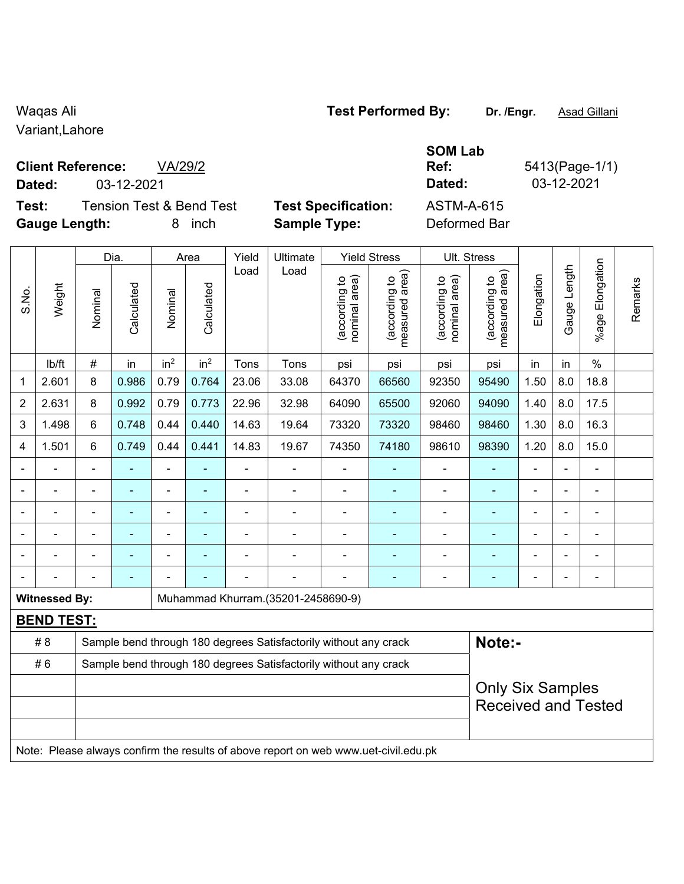Variant,Lahore

## **Client Reference:** VA/29/2

**Dated:** 03-12-2021 **Dated:** 03-12-2021

**Test:** Tension Test & Bend Test **Test Specification:** ASTM-A-615 **Gauge Length:** 8 inch **Sample Type:** Deformed Bar

Dia. | Area | Yield | Ultimate | Yield Stress | Ult. Stress

| Specification: |  |  |
|----------------|--|--|

**SOM Lab** 

**Ref:** 5413(Page-1/1)

|                         |                      |                | Dia.           | Area            |                 | Yield          | Ultimate                                                                            | Yield Stress                   |                                 | UII. Stress                    |                                 |            |                          |                 |         |
|-------------------------|----------------------|----------------|----------------|-----------------|-----------------|----------------|-------------------------------------------------------------------------------------|--------------------------------|---------------------------------|--------------------------------|---------------------------------|------------|--------------------------|-----------------|---------|
| S.No.                   | Weight               | Nominal        | Calculated     | Nominal         | Calculated      | Load           | Load                                                                                | (according to<br>nominal area) | (according to<br>measured area) | (according to<br>nominal area) | (according to<br>measured area) | Elongation | Gauge Length             | %age Elongation | Remarks |
|                         | lb/ft                | $\#$           | in             | in <sup>2</sup> | in <sup>2</sup> | Tons           | Tons                                                                                | psi                            | psi                             | psi                            | psi                             | in         | in                       | $\%$            |         |
| $\mathbf{1}$            | 2.601                | 8              | 0.986          | 0.79            | 0.764           | 23.06          | 33.08                                                                               | 64370                          | 66560                           | 92350                          | 95490                           | 1.50       | 8.0                      | 18.8            |         |
| $\overline{2}$          | 2.631                | 8              | 0.992          | 0.79            | 0.773           | 22.96          | 32.98                                                                               | 64090                          | 65500                           | 92060                          | 94090                           | 1.40       | 8.0                      | 17.5            |         |
| $\mathfrak{S}$          | 1.498                | 6              | 0.748          | 0.44            | 0.440           | 14.63          | 19.64                                                                               | 73320                          | 73320                           | 98460                          | 98460                           | 1.30       | 8.0                      | 16.3            |         |
| $\overline{\mathbf{4}}$ | 1.501                | $6\phantom{1}$ | 0.749          | 0.44            | 0.441           | 14.83          | 19.67                                                                               | 74350                          | 74180                           | 98610                          | 98390                           | 1.20       | 8.0                      | 15.0            |         |
|                         |                      |                |                |                 |                 |                |                                                                                     |                                |                                 |                                |                                 |            |                          |                 |         |
|                         |                      |                |                | ۰               |                 |                |                                                                                     |                                |                                 |                                | $\blacksquare$                  |            |                          |                 |         |
|                         |                      | $\blacksquare$ | $\blacksquare$ | $\blacksquare$  | ۰               |                |                                                                                     | $\blacksquare$                 | ٠                               | ÷                              | ä,                              |            | $\blacksquare$           | ÷,              |         |
|                         |                      |                | $\blacksquare$ | $\blacksquare$  | $\blacksquare$  | $\blacksquare$ |                                                                                     | $\blacksquare$                 |                                 | $\blacksquare$                 | ÷                               |            | $\overline{\phantom{0}}$ | $\blacksquare$  |         |
|                         |                      |                | $\blacksquare$ | $\blacksquare$  |                 |                |                                                                                     |                                | $\blacksquare$                  | $\blacksquare$                 | $\blacksquare$                  |            |                          | ÷,              |         |
|                         |                      |                |                |                 |                 |                |                                                                                     |                                |                                 |                                |                                 |            |                          | $\blacksquare$  |         |
|                         | <b>Witnessed By:</b> |                |                |                 |                 |                | Muhammad Khurram.(35201-2458690-9)                                                  |                                |                                 |                                |                                 |            |                          |                 |         |
|                         | <b>BEND TEST:</b>    |                |                |                 |                 |                |                                                                                     |                                |                                 |                                |                                 |            |                          |                 |         |
|                         | # 8                  |                |                |                 |                 |                | Sample bend through 180 degrees Satisfactorily without any crack                    |                                |                                 |                                | Note:-                          |            |                          |                 |         |
|                         | #6                   |                |                |                 |                 |                | Sample bend through 180 degrees Satisfactorily without any crack                    |                                |                                 |                                |                                 |            |                          |                 |         |
|                         |                      |                |                |                 |                 |                | <b>Only Six Samples</b><br><b>Received and Tested</b>                               |                                |                                 |                                |                                 |            |                          |                 |         |
|                         |                      |                |                |                 |                 |                | Note: Please always confirm the results of above report on web www.uet-civil.edu.pk |                                |                                 |                                |                                 |            |                          |                 |         |

## Waqas Ali **Waqas Ali Test Performed By:** Dr. /Engr. **Asad Gillani**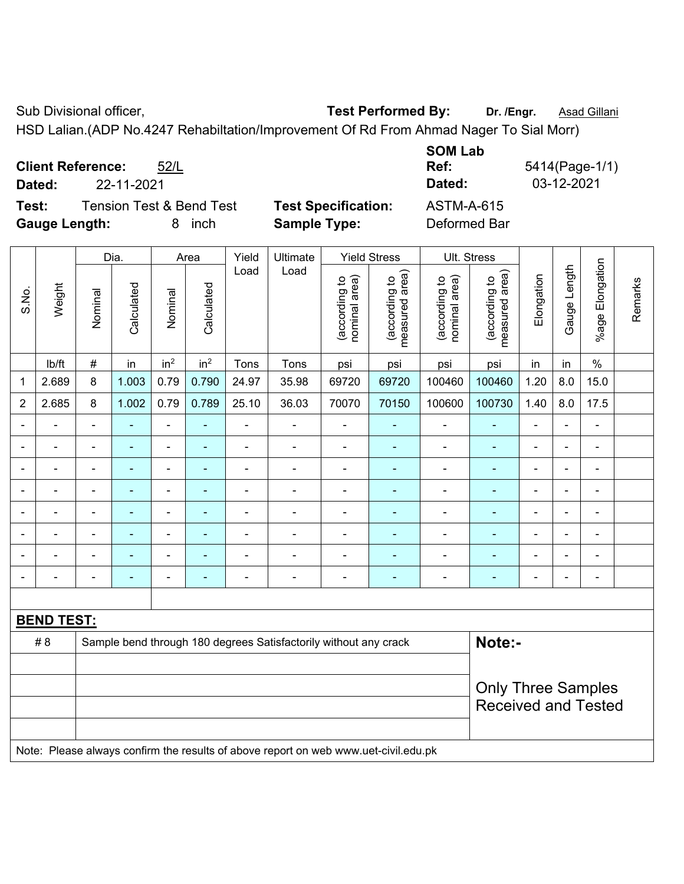Sub Divisional officer, **Test Performed By:** Dr. /Engr. **Asad Gillani** Cub Association Cub Association Cub Association

HSD Lalian.(ADP No.4247 Rehabiltation/Improvement Of Rd From Ahmad Nager To Sial Morr)

|                      |                          |                          |                            | <b>SUM LAD</b> |              |
|----------------------|--------------------------|--------------------------|----------------------------|----------------|--------------|
|                      | <b>Client Reference:</b> | 52/L                     |                            | Ref:           | 5414(Page-1/ |
| Dated:               | 22-11-2021               |                          |                            | Dated:         | 03-12-2021   |
| Test:                |                          | Tension Test & Bend Test | <b>Test Specification:</b> | ASTM-A-615     |              |
| <b>Gauge Length:</b> |                          | inch                     | <b>Sample Type:</b>        | Deformed Bar   |              |

|                |                   |                | Dia.<br>Area   |                              | Yield                      | Ultimate       |                                                                                     | <b>Yield Stress</b>            | Ult. Stress                     |                                |                                 |                |                |                              |         |
|----------------|-------------------|----------------|----------------|------------------------------|----------------------------|----------------|-------------------------------------------------------------------------------------|--------------------------------|---------------------------------|--------------------------------|---------------------------------|----------------|----------------|------------------------------|---------|
| S.No.          | Weight            | Nominal        | Calculated     | Nominal                      | Calculated                 | Load           | Load                                                                                | (according to<br>nominal area) | (according to<br>measured area) | nominal area)<br>(according to | (according to<br>measured area) | Elongation     | Gauge Length   | Elongation<br>$%$ age        | Remarks |
|                | lb/ft             | $\#$           | in             | in <sup>2</sup>              | in <sup>2</sup>            | Tons           | Tons                                                                                | psi                            | psi                             | psi                            | psi                             | in             | in             | $\%$                         |         |
| 1              | 2.689             | 8              | 1.003          | 0.79                         | 0.790                      | 24.97          | 35.98                                                                               | 69720                          | 69720                           | 100460                         | 100460                          | 1.20           | 8.0            | 15.0                         |         |
| $\overline{2}$ | 2.685             | 8              | 1.002          | 0.79                         | 0.789                      | 25.10          | 36.03                                                                               | 70070                          | 70150                           | 100600                         | 100730                          | 1.40           | 8.0            | 17.5                         |         |
|                |                   | $\blacksquare$ |                | ÷,                           | $\blacksquare$             | $\blacksquare$ | $\blacksquare$                                                                      | $\frac{1}{2}$                  | $\blacksquare$                  | $\overline{\phantom{a}}$       | $\blacksquare$                  | ÷              | ÷              | ÷,                           |         |
|                |                   | $\blacksquare$ | ä,             | ÷,                           | ÷                          | ä,             | $\blacksquare$                                                                      | $\blacksquare$                 | $\blacksquare$                  | $\blacksquare$                 | $\blacksquare$                  | $\blacksquare$ | ä,             | $\qquad \qquad \blacksquare$ |         |
|                | $\blacksquare$    | $\blacksquare$ | $\blacksquare$ | $\qquad \qquad \blacksquare$ | $\blacksquare$             | $\blacksquare$ | $\overline{\phantom{a}}$                                                            | $\overline{\phantom{a}}$       | $\blacksquare$                  | $\overline{\phantom{a}}$       | $\blacksquare$                  | $\blacksquare$ | $\blacksquare$ | $\overline{\phantom{a}}$     |         |
|                | $\blacksquare$    | $\blacksquare$ | $\blacksquare$ | $\qquad \qquad \blacksquare$ | $\overline{\phantom{0}}$   | $\blacksquare$ | ä,                                                                                  | $\blacksquare$                 | ٠                               | $\blacksquare$                 | $\blacksquare$                  | ÷              | $\blacksquare$ | ÷,                           |         |
|                | $\overline{a}$    |                | L,             | ÷,                           | ۰                          | ä,             | $\blacksquare$                                                                      | ÷,                             | ä,                              | $\blacksquare$                 | ä,                              | L,             |                | $\blacksquare$               |         |
|                |                   |                |                |                              |                            |                | $\overline{\phantom{0}}$                                                            | $\blacksquare$                 |                                 |                                | $\blacksquare$                  |                |                | $\blacksquare$               |         |
|                |                   |                |                | ä,                           |                            |                | Ē,                                                                                  | $\blacksquare$                 | ÷                               | $\blacksquare$                 | ÷                               | L,             |                | ä,                           |         |
|                |                   |                |                | ÷                            | $\blacksquare$             | $\blacksquare$ | Ē,                                                                                  | $\blacksquare$                 | $\blacksquare$                  | $\overline{\phantom{a}}$       | $\blacksquare$                  | ä,             | $\blacksquare$ | $\qquad \qquad \blacksquare$ |         |
|                |                   |                |                |                              |                            |                |                                                                                     |                                |                                 |                                |                                 |                |                |                              |         |
|                | <b>BEND TEST:</b> |                |                |                              |                            |                |                                                                                     |                                |                                 |                                |                                 |                |                |                              |         |
|                | # 8               |                |                |                              |                            |                | Sample bend through 180 degrees Satisfactorily without any crack                    |                                |                                 |                                | Note:-                          |                |                |                              |         |
|                |                   |                |                |                              |                            |                |                                                                                     |                                |                                 |                                |                                 |                |                |                              |         |
|                |                   |                |                |                              |                            |                | <b>Only Three Samples</b>                                                           |                                |                                 |                                |                                 |                |                |                              |         |
|                |                   |                |                |                              | <b>Received and Tested</b> |                |                                                                                     |                                |                                 |                                |                                 |                |                |                              |         |
|                |                   |                |                |                              |                            |                |                                                                                     |                                |                                 |                                |                                 |                |                |                              |         |
|                |                   |                |                |                              |                            |                | Note: Please always confirm the results of above report on web www.uet-civil.edu.pk |                                |                                 |                                |                                 |                |                |                              |         |

**SOM Lab ge-1/1)**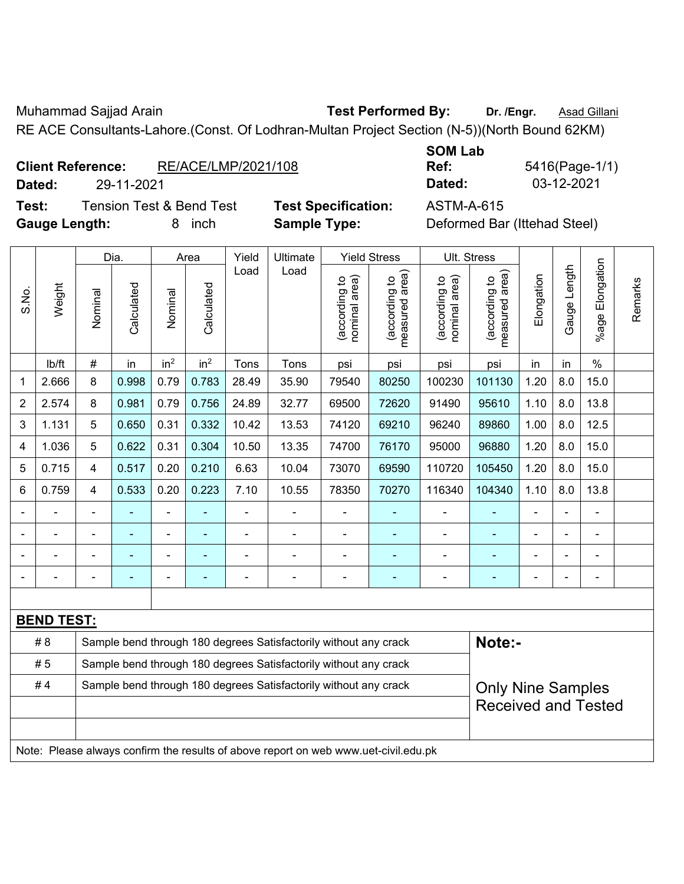Muhammad Sajjad Arain **Test Performed By:** Dr. /Engr. **Asad Gillani** 

RE ACE Consultants-Lahore.(Const. Of Lodhran-Multan Project Section (N-5))(North Bound 62KM)

**Test:** Tension Test & Bend Test **Test Specification:** ASTM-A-615 Gauge Length: **8** inch **Sample Type:** Definition

**SOM Lab Ref:** 5416(Page-1/1) **Dated:** 29-11-2021 **Dated:** 03-12-2021

| Deformed Bar (Ittehad Steel) |  |
|------------------------------|--|
|------------------------------|--|

|                |                   |         | Dia.                                                             |                 | Area                     | Yield | Ultimate                                                                            |                                | <b>Yield Stress</b>                         |                                | Ult. Stress                     |                            |              |                       |         |  |
|----------------|-------------------|---------|------------------------------------------------------------------|-----------------|--------------------------|-------|-------------------------------------------------------------------------------------|--------------------------------|---------------------------------------------|--------------------------------|---------------------------------|----------------------------|--------------|-----------------------|---------|--|
| S.No.          | Weight            | Nominal | Calculated                                                       | Nominal         | Calculated               | Load  | Load                                                                                | nominal area)<br>(according to | (according to<br>measured area)<br>measured | nominal area)<br>(according to | measured area)<br>(according to | Elongation                 | Gauge Length | Elongation<br>$%$ age | Remarks |  |
|                | lb/ft             | #       | in                                                               | in <sup>2</sup> | in <sup>2</sup>          | Tons  | Tons                                                                                | psi                            | psi                                         | psi                            | psi                             | in                         | in           | $\%$                  |         |  |
| 1              | 2.666             | 8       | 0.998                                                            | 0.79            | 0.783                    | 28.49 | 35.90                                                                               | 79540                          | 80250                                       | 100230                         | 101130                          | 1.20                       | 8.0          | 15.0                  |         |  |
| $\overline{2}$ | 2.574             | 8       | 0.981                                                            | 0.79            | 0.756                    | 24.89 | 32.77                                                                               | 69500                          | 72620                                       | 91490                          | 95610                           | 1.10                       | 8.0          | 13.8                  |         |  |
| 3              | 1.131             | 5       | 0.650                                                            | 0.31            | 0.332                    | 10.42 | 13.53                                                                               | 74120                          | 69210                                       | 96240                          | 89860                           | 1.00                       | 8.0          | 12.5                  |         |  |
| 4              | 1.036             | 5       | 0.622                                                            | 0.31            | 0.304                    | 10.50 | 13.35                                                                               | 74700                          | 76170                                       | 95000                          | 96880                           | 1.20                       | 8.0          | 15.0                  |         |  |
| 5              | 0.715             | 4       | 0.517                                                            | 0.20            | 0.210                    | 6.63  | 10.04                                                                               | 73070                          | 69590                                       | 110720                         | 105450                          | 1.20                       | 8.0          | 15.0                  |         |  |
| 6              | 0.759             | 4       | 0.533                                                            | 0.20            | 0.223                    | 7.10  | 10.55                                                                               | 78350                          | 70270                                       | 116340                         | 104340                          | 1.10                       | 8.0          | 13.8                  |         |  |
|                |                   |         |                                                                  | ä,              |                          |       |                                                                                     |                                |                                             |                                | ä,                              | $\blacksquare$             |              |                       |         |  |
|                |                   |         |                                                                  |                 |                          |       |                                                                                     | $\blacksquare$                 |                                             |                                |                                 |                            |              |                       |         |  |
|                |                   |         |                                                                  | ٠               |                          |       |                                                                                     |                                |                                             |                                |                                 |                            |              |                       |         |  |
|                |                   |         | ۰                                                                | ۰               |                          |       | ٠                                                                                   | $\blacksquare$                 | Ē.                                          | ٠                              | $\overline{\phantom{0}}$        |                            |              | $\blacksquare$        |         |  |
|                |                   |         |                                                                  |                 |                          |       |                                                                                     |                                |                                             |                                |                                 |                            |              |                       |         |  |
|                | <b>BEND TEST:</b> |         |                                                                  |                 |                          |       |                                                                                     |                                |                                             |                                |                                 |                            |              |                       |         |  |
|                | #8                |         |                                                                  |                 |                          |       | Sample bend through 180 degrees Satisfactorily without any crack                    |                                |                                             |                                | Note:-                          |                            |              |                       |         |  |
|                | #5                |         |                                                                  |                 |                          |       | Sample bend through 180 degrees Satisfactorily without any crack                    |                                |                                             |                                |                                 |                            |              |                       |         |  |
|                | #4                |         | Sample bend through 180 degrees Satisfactorily without any crack |                 | <b>Only Nine Samples</b> |       |                                                                                     |                                |                                             |                                |                                 |                            |              |                       |         |  |
|                |                   |         |                                                                  |                 |                          |       |                                                                                     |                                |                                             |                                |                                 | <b>Received and Tested</b> |              |                       |         |  |
|                |                   |         |                                                                  |                 |                          |       |                                                                                     |                                |                                             |                                |                                 |                            |              |                       |         |  |
|                |                   |         |                                                                  |                 |                          |       | Note: Please always confirm the results of above report on web www.uet-civil.edu.pk |                                |                                             |                                |                                 |                            |              |                       |         |  |